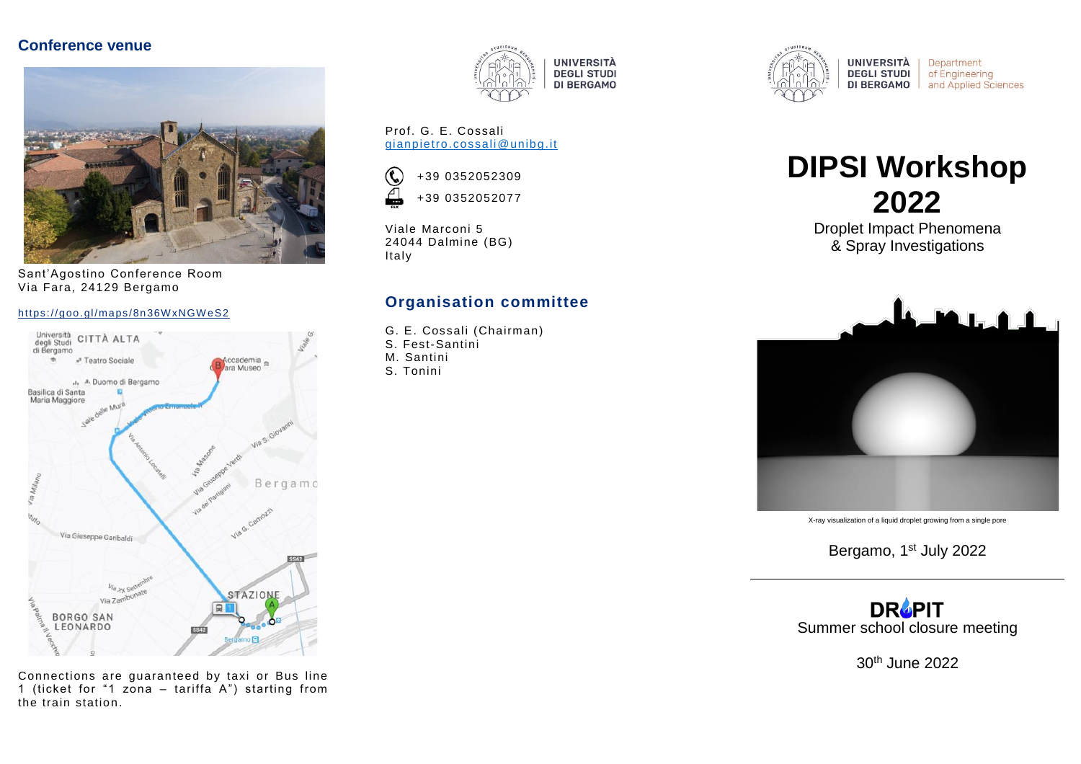#### **Conference venue**



Sant'Agostino Conference Room Via Fara, 24129 Bergamo

#### https://goo.gl/maps/8n36WxNGWeS2



Connections are guaranteed by taxi or Bus line 1 (ticket for "1 zona – tariffa A") starting from the train station.



Prof. G. E. Cossali [gianpietro.cossali@unibg.it](mailto:gianpietro.cossali@unibg.it)



Viale Marconi 5 24044 Dalmine (BG) Italy

#### **Organisation committee**

- G. E. Cossali (Chairman)
- S. Fest-Santini
- M. Santini
- S. Tonini



Department of Engineering and Applied Sciences

# **DIPSI Workshop 2022**

Droplet Impact Phenomena & Spray Investigations



X-ray visualization of a liquid droplet growing from a single pore

Bergamo, 1<sup>st</sup> July 2022

**DROPIT** Summer school closure meeting

30th June 2022